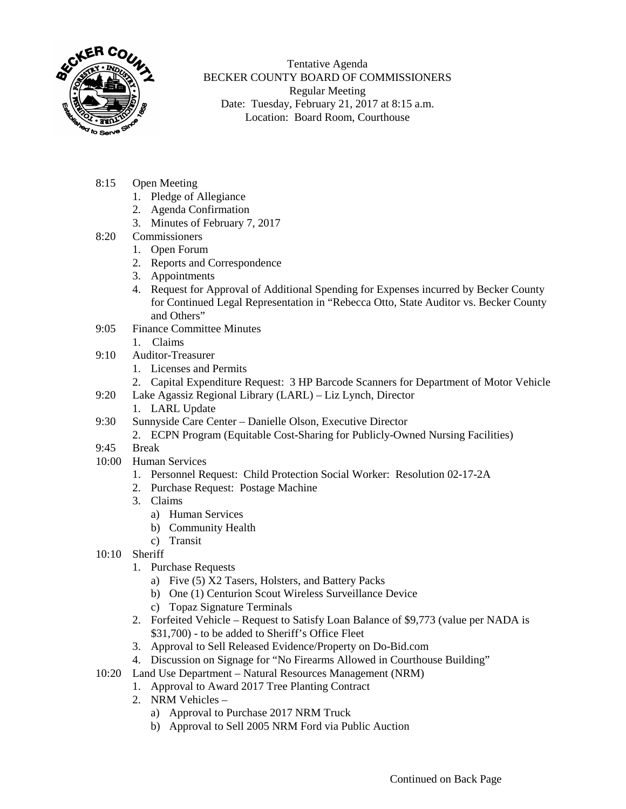

Tentative Agenda BECKER COUNTY BOARD OF COMMISSIONERS Regular Meeting Date: Tuesday, February 21, 2017 at 8:15 a.m. Location: Board Room, Courthouse

- 8:15 Open Meeting
	- 1. Pledge of Allegiance
	- 2. Agenda Confirmation
	- 3. Minutes of February 7, 2017
- 8:20 Commissioners
	- 1. Open Forum
	- 2. Reports and Correspondence
	- 3. Appointments
	- 4. Request for Approval of Additional Spending for Expenses incurred by Becker County for Continued Legal Representation in "Rebecca Otto, State Auditor vs. Becker County and Others"
- 9:05 Finance Committee Minutes
	- 1. Claims
- 9:10 Auditor-Treasurer
	- 1. Licenses and Permits
	- 2. Capital Expenditure Request: 3 HP Barcode Scanners for Department of Motor Vehicle
- 9:20 Lake Agassiz Regional Library (LARL) Liz Lynch, Director
	- 1. LARL Update
- 9:30 Sunnyside Care Center Danielle Olson, Executive Director
	- 2. ECPN Program (Equitable Cost-Sharing for Publicly-Owned Nursing Facilities)
- 9:45 Break
- 10:00 Human Services
	- 1. Personnel Request: Child Protection Social Worker: Resolution 02-17-2A
	- 2. Purchase Request: Postage Machine
	- 3. Claims
		- a) Human Services
		- b) Community Health
		- c) Transit
- 10:10 Sheriff
	- 1. Purchase Requests
		- a) Five (5) X2 Tasers, Holsters, and Battery Packs
		- b) One (1) Centurion Scout Wireless Surveillance Device
		- c) Topaz Signature Terminals
	- 2. Forfeited Vehicle Request to Satisfy Loan Balance of \$9,773 (value per NADA is \$31,700) - to be added to Sheriff's Office Fleet
	- 3. Approval to Sell Released Evidence/Property on Do-Bid.com
	- 4. Discussion on Signage for "No Firearms Allowed in Courthouse Building"
- 10:20 Land Use Department Natural Resources Management (NRM)
	- 1. Approval to Award 2017 Tree Planting Contract
		- 2. NRM Vehicles
			- a) Approval to Purchase 2017 NRM Truck
			- b) Approval to Sell 2005 NRM Ford via Public Auction